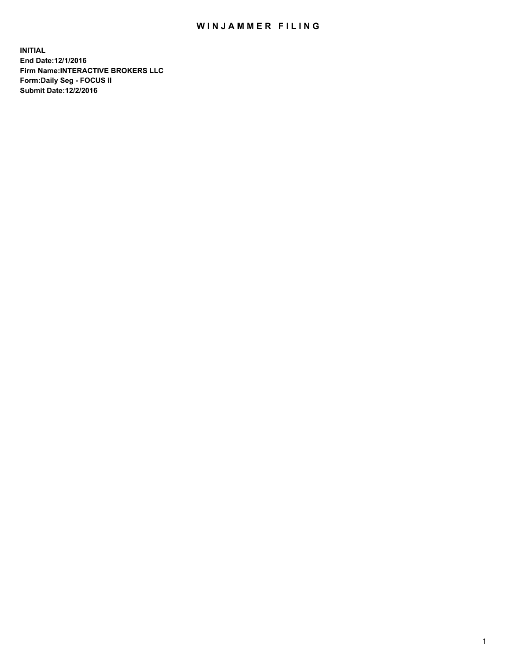## WIN JAMMER FILING

**INITIAL End Date:12/1/2016 Firm Name:INTERACTIVE BROKERS LLC Form:Daily Seg - FOCUS II Submit Date:12/2/2016**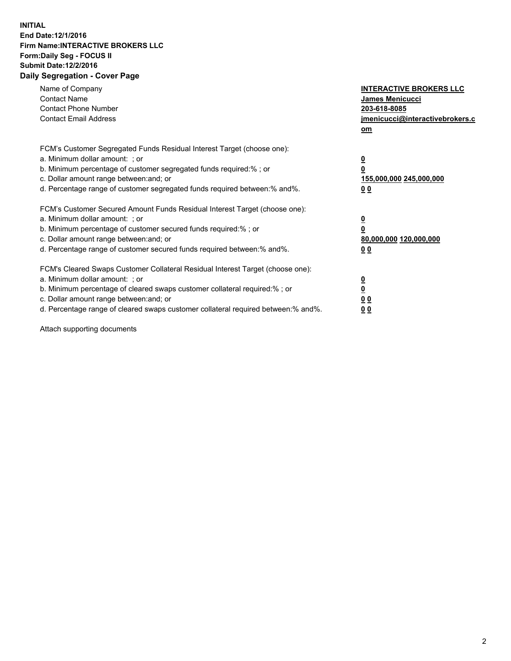## **INITIAL End Date:12/1/2016 Firm Name:INTERACTIVE BROKERS LLC Form:Daily Seg - FOCUS II Submit Date:12/2/2016 Daily Segregation - Cover Page**

| Name of Company<br><b>Contact Name</b><br><b>Contact Phone Number</b><br><b>Contact Email Address</b>                                                                                                                                                                                                                          | <b>INTERACTIVE BROKERS LLC</b><br><b>James Menicucci</b><br>203-618-8085<br>jmenicucci@interactivebrokers.c<br>om |
|--------------------------------------------------------------------------------------------------------------------------------------------------------------------------------------------------------------------------------------------------------------------------------------------------------------------------------|-------------------------------------------------------------------------------------------------------------------|
| FCM's Customer Segregated Funds Residual Interest Target (choose one):<br>a. Minimum dollar amount: ; or<br>b. Minimum percentage of customer segregated funds required:%; or<br>c. Dollar amount range between: and; or<br>d. Percentage range of customer segregated funds required between:% and%.                          | $\overline{\mathbf{0}}$<br>0<br>155,000,000 245,000,000<br>0 <sub>0</sub>                                         |
| FCM's Customer Secured Amount Funds Residual Interest Target (choose one):<br>a. Minimum dollar amount: ; or<br>b. Minimum percentage of customer secured funds required:%; or<br>c. Dollar amount range between: and; or<br>d. Percentage range of customer secured funds required between: % and %.                          | $\overline{\mathbf{0}}$<br>0<br>80,000,000 120,000,000<br>00                                                      |
| FCM's Cleared Swaps Customer Collateral Residual Interest Target (choose one):<br>a. Minimum dollar amount: ; or<br>b. Minimum percentage of cleared swaps customer collateral required:% ; or<br>c. Dollar amount range between: and; or<br>d. Percentage range of cleared swaps customer collateral required between:% and%. | $\overline{\mathbf{0}}$<br>$\overline{\mathbf{0}}$<br>0 <sub>0</sub><br><u>00</u>                                 |

Attach supporting documents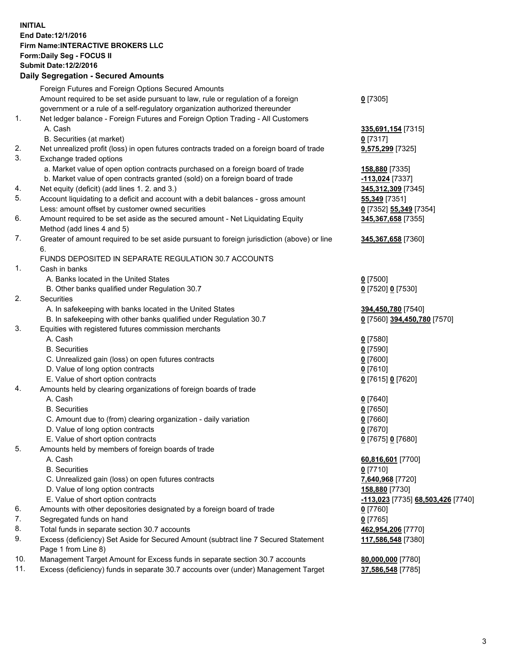## **INITIAL End Date:12/1/2016 Firm Name:INTERACTIVE BROKERS LLC Form:Daily Seg - FOCUS II Submit Date:12/2/2016 Daily Segregation - Secured Amounts**

|     | Daily Jegiegation - Jeculed Aniounts                                                                       |                                   |
|-----|------------------------------------------------------------------------------------------------------------|-----------------------------------|
|     | Foreign Futures and Foreign Options Secured Amounts                                                        |                                   |
|     | Amount required to be set aside pursuant to law, rule or regulation of a foreign                           | $0$ [7305]                        |
|     | government or a rule of a self-regulatory organization authorized thereunder                               |                                   |
| 1.  | Net ledger balance - Foreign Futures and Foreign Option Trading - All Customers                            |                                   |
|     | A. Cash                                                                                                    | 335,691,154 [7315]                |
|     | B. Securities (at market)                                                                                  | $0$ [7317]                        |
| 2.  | Net unrealized profit (loss) in open futures contracts traded on a foreign board of trade                  | 9,575,299 [7325]                  |
| 3.  | Exchange traded options                                                                                    |                                   |
|     | a. Market value of open option contracts purchased on a foreign board of trade                             | 158,880 [7335]                    |
|     | b. Market value of open contracts granted (sold) on a foreign board of trade                               | -113,024 [7337]                   |
| 4.  | Net equity (deficit) (add lines 1.2. and 3.)                                                               | 345,312,309 [7345]                |
| 5.  | Account liquidating to a deficit and account with a debit balances - gross amount                          | 55,349 [7351]                     |
|     | Less: amount offset by customer owned securities                                                           | 0 [7352] 55,349 [7354]            |
| 6.  | Amount required to be set aside as the secured amount - Net Liquidating Equity                             | 345,367,658 [7355]                |
|     | Method (add lines 4 and 5)                                                                                 |                                   |
| 7.  | Greater of amount required to be set aside pursuant to foreign jurisdiction (above) or line                | 345,367,658 [7360]                |
|     | 6.                                                                                                         |                                   |
|     | FUNDS DEPOSITED IN SEPARATE REGULATION 30.7 ACCOUNTS                                                       |                                   |
| 1.  | Cash in banks                                                                                              |                                   |
|     | A. Banks located in the United States                                                                      | $0$ [7500]                        |
|     | B. Other banks qualified under Regulation 30.7                                                             | 0 [7520] 0 [7530]                 |
| 2.  | Securities                                                                                                 |                                   |
|     | A. In safekeeping with banks located in the United States                                                  | 394,450,780 [7540]                |
|     | B. In safekeeping with other banks qualified under Regulation 30.7                                         | 0 [7560] 394,450,780 [7570]       |
| 3.  | Equities with registered futures commission merchants                                                      |                                   |
|     | A. Cash                                                                                                    | $0$ [7580]                        |
|     | <b>B.</b> Securities                                                                                       | $0$ [7590]                        |
|     | C. Unrealized gain (loss) on open futures contracts                                                        | $0$ [7600]                        |
|     | D. Value of long option contracts                                                                          | $0$ [7610]                        |
|     | E. Value of short option contracts                                                                         | 0 [7615] 0 [7620]                 |
| 4.  | Amounts held by clearing organizations of foreign boards of trade                                          |                                   |
|     | A. Cash                                                                                                    | $0$ [7640]                        |
|     | <b>B.</b> Securities                                                                                       | $0$ [7650]                        |
|     | C. Amount due to (from) clearing organization - daily variation                                            | $0$ [7660]                        |
|     | D. Value of long option contracts                                                                          | $0$ [7670]                        |
|     | E. Value of short option contracts                                                                         | 0 [7675] 0 [7680]                 |
| 5.  | Amounts held by members of foreign boards of trade                                                         |                                   |
|     | A. Cash                                                                                                    | 60,816,601 [7700]                 |
|     | <b>B.</b> Securities                                                                                       | $0$ [7710]                        |
|     | C. Unrealized gain (loss) on open futures contracts                                                        | 7,640,968 [7720]                  |
|     | D. Value of long option contracts                                                                          | 158,880 [7730]                    |
|     | E. Value of short option contracts                                                                         | -113,023 [7735] 68,503,426 [7740] |
| 6.  | Amounts with other depositories designated by a foreign board of trade                                     | 0 [7760]                          |
| 7.  | Segregated funds on hand                                                                                   | $0$ [7765]                        |
| 8.  | Total funds in separate section 30.7 accounts                                                              | 462,954,206 [7770]                |
| 9.  | Excess (deficiency) Set Aside for Secured Amount (subtract line 7 Secured Statement<br>Page 1 from Line 8) | 117,586,548 [7380]                |
| 10. | Management Target Amount for Excess funds in separate section 30.7 accounts                                | 80,000,000 [7780]                 |
| 11. | Excess (deficiency) funds in separate 30.7 accounts over (under) Management Target                         | 37,586,548 [7785]                 |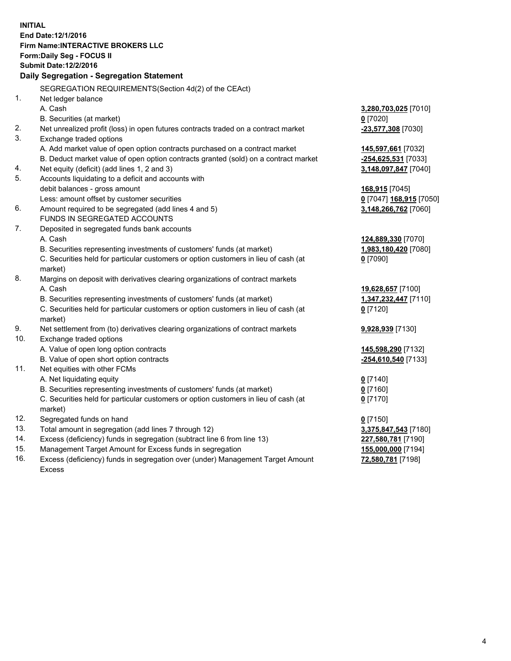**INITIAL End Date:12/1/2016 Firm Name:INTERACTIVE BROKERS LLC Form:Daily Seg - FOCUS II Submit Date:12/2/2016 Daily Segregation - Segregation Statement** SEGREGATION REQUIREMENTS(Section 4d(2) of the CEAct) 1. Net ledger balance A. Cash **3,280,703,025** [7010] B. Securities (at market) **0** [7020] 2. Net unrealized profit (loss) in open futures contracts traded on a contract market **-23,577,308** [7030] 3. Exchange traded options A. Add market value of open option contracts purchased on a contract market **145,597,661** [7032] B. Deduct market value of open option contracts granted (sold) on a contract market **-254,625,531** [7033] 4. Net equity (deficit) (add lines 1, 2 and 3) **3,148,097,847** [7040] 5. Accounts liquidating to a deficit and accounts with debit balances - gross amount **168,915** [7045] Less: amount offset by customer securities **0** [7047] **168,915** [7050] 6. Amount required to be segregated (add lines 4 and 5) **3,148,266,762** [7060] FUNDS IN SEGREGATED ACCOUNTS 7. Deposited in segregated funds bank accounts A. Cash **124,889,330** [7070] B. Securities representing investments of customers' funds (at market) **1,983,180,420** [7080] C. Securities held for particular customers or option customers in lieu of cash (at market) **0** [7090] 8. Margins on deposit with derivatives clearing organizations of contract markets A. Cash **19,628,657** [7100] B. Securities representing investments of customers' funds (at market) **1,347,232,447** [7110] C. Securities held for particular customers or option customers in lieu of cash (at market) **0** [7120] 9. Net settlement from (to) derivatives clearing organizations of contract markets **9,928,939** [7130] 10. Exchange traded options A. Value of open long option contracts **145,598,290** [7132] B. Value of open short option contracts **-254,610,540** [7133] 11. Net equities with other FCMs A. Net liquidating equity **0** [7140] B. Securities representing investments of customers' funds (at market) **0** [7160] C. Securities held for particular customers or option customers in lieu of cash (at market) **0** [7170] 12. Segregated funds on hand **0** [7150] 13. Total amount in segregation (add lines 7 through 12) **3,375,847,543** [7180] 14. Excess (deficiency) funds in segregation (subtract line 6 from line 13) **227,580,781** [7190] 15. Management Target Amount for Excess funds in segregation **155,000,000** [7194] **72,580,781** [7198]

16. Excess (deficiency) funds in segregation over (under) Management Target Amount Excess

4